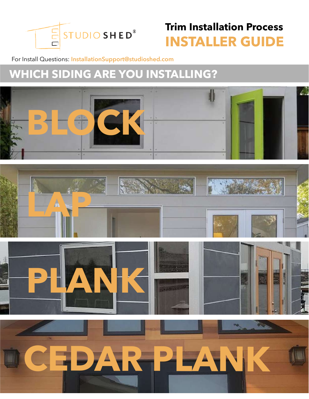

### **Trim Installation Process INSTALLER GUIDE**

#### For Install Questions: **InstallationSupport@studioshed.com**

## **WHICH SIDING ARE YOU INSTALLING?**

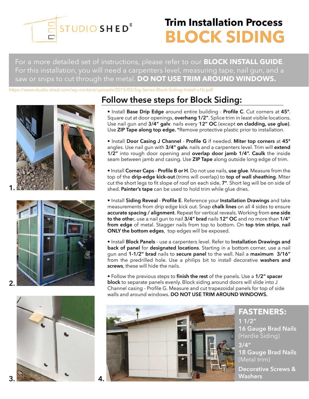

## **Trim Installation Process BLOCK SIDING**

For a more detailed set of instructions, please refer to our **BLOCK INSTALL GUIDE**. For this installation, you will need a carpenters level, measuring tape, nail gun, and a saw or snips to cut through the metal. **DO NOT USE TRIM AROUND WINDOWS.**

https://www.studio-shed.com/wp-content/uploads/2015/03/Sig-Series-Block-Siding-Install-v1b.pdf









### **Follow these steps for Block Siding:**

• Install **Base Drip Edge** around entire building - **Profile C**. Cut corners at **45°**. Square cut at door openings, **overhang 1/2"**. Splice trim in least visible locations. Use nail gun and **3/4" galv**. nails every **12" OC** (except **on cladding, use glue)**. Use **ZIP Tape along top edge.** \*Remove protective plastic prior to installation.

• Install **Door Casing J Channel** - **Profile G** if needed. **Miter top corners** at **45°** angles. Use nail gun with **3/4" galv.** nails and a carpenters level. Trim will **extend 1/2"** into rough door opening and **overlap door jamb 1/4". Caulk** the inside seam between jamb and casing. Use **ZIP Tape** along outside long edge of trim.

• Install **Corner Caps** - **Profile B or H**. Do not use nails, **use glue**. Measure from the top of the **drip-edge kick-out** (trims will overlap) to **top of wall sheathing**. Miter cut the short legs to fit slope of roof on each side, **7°**. Short leg will be on side of shed. **Painter's tape** can be used to hold trim while glue dries.

• Install **Siding Reveal** - **Profile E**. Reference your **Installation Drawings** and take measurements from drip edge kick out. Snap **chalk lines** on all 4 sides to ensure **accurate spacing / alignment**. Repeat for vertical reveals. Working from **one side to the othe**r, use a nail gun to nail **3/4" brad** nails **12" OC** and no more than **1/4" from edge** of metal. Stagger nails from top to bottom. On **top trim strips**, **nail ONLY the bottom edges**,top edges will be exposed.

• Install **Block Panels** - use a carpenters level. Refer to **Installation Drawings and back of panel** for **designated locations**. Starting in a bottom corner, use a nail gun and **1-1/2" brad** nails to **secure panel** to the wall. Nail a **maximum 3/16"** from the predrilled hole. Use a philips bit to install decorative **washers and screws**, these will hide the nails.

• Follow the previous steps to **finish the rest** of the panels. Use a **1/2" spacer block** to separate panels evenly. Block siding around doors will slide into J Channel casing - Profile G. Measure and cut trapezoidal panels for top of side walls and around windows. **DO NOT USE TRIM AROUND WINDOWS.**



**3/4" 18 Gauge Brad Nails** (Metal trim) **FASTENERS: 1 1/2" 16 Gauge Brad Nails** (Hardie Siding) **Decorative Screws & Washers**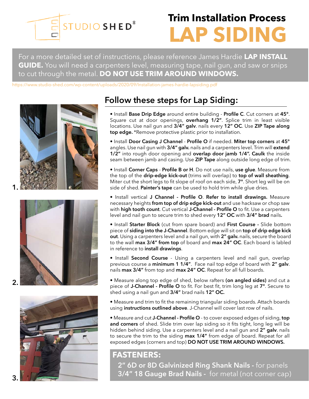

# **Trim Installation Process LAP SIDING**

For a more detailed set of instructions, please reference James Hardie **LAP INSTALL GUIDE.** You will need a carpenters level, measuring tape, nail gun, and saw or snips to cut through the metal. **DO NOT USE TRIM AROUND WINDOWS.**

https://www.studio-shed.com/wp-content/uploads/2020/09/Installation-james-hardie-lapsiding.pdf









### **Follow these steps for Lap Siding:**

• Install **Base Drip Edge** around entire building - **Profile C**. Cut corners at **45°**. Square cut at door openings, **overhang 1/2"**. Splice trim in least visible locations. Use nail gun and **3/4" galv**. nails every **12" OC**. Use **ZIP Tape along top edge.** \*Remove protective plastic prior to installation.

• Install **Door Casing J Channel** - **Profile O** if needed. **Miter top corners** at **45°** angles. Use nail gun with **3/4" galv.** nails and a carpenters level. Trim will **extend 1/2"** into rough door opening and **overlap door jamb 1/4". Caulk** the inside seam between jamb and casing. Use **ZIP Tape** along outside long edge of trim.

• Install **Corner Caps** - **Profile B or H**. Do not use nails, **use glue**. Measure from the top of the **drip-edge kick-out** (trims will overlap) to **top of wall sheathing**. Miter cut the short legs to fit slope of roof on each side, **7°**. Short leg will be on side of shed. **Painter's tape** can be used to hold trim while glue dries.

• Install vertical **J Channel - Profile O**. **Refer to install drawings.** Measure necessary heights **from top of drip edge kick-out** and use hacksaw or chop saw with **high tooth count**. Cut vertical **J-Channel - Profile O** to fit. Use a carpenters level and nail gun to secure trim to shed every **12" OC** with **3/4" brad** nails**.**

• Install **Starter Block** (cut from spare board) and **First Course -** Slide bottom piece of **siding into the J-Channel**. Bottom edge will sit on **top of drip edge kick out**. Using a carpenters level and a nail gun, with **2" galv.** nails, secure the board to the wall **max 3/4" from top** of board and **max 24" OC**. Each board is labled in reference to **install drawings**.

• Install **Second Course** - Using a carpenters level and nail gun, overlap previous course a **minimum 1 1/4"**. Face nail top edge of board with **2" galv**. nails **max 3/4"** from top and **max 24" OC**. Repeat for all full boards.

• Measure along top edge of shed, below rafters **(on angled sides)** and cut a piece of **J-Channel - Profile O** to fit. For best fit, trim long leg at **7°**. Secure to shed using a nail gun and **3/4"** brad nails **12" OC.**

• Measure and trim to fit the remaining triangular siding boards. Attach boards using **instructions outlined above**. J-Channel will cover last row of nails.

• Measure and cut **J-Channel - Profile O** - to cover exposed edges of siding, **top and corners** of shed. Slide trim over lap siding so it fits tight, long leg will be hidden behind siding. Use a carpenters level and a nail gun and **2" galv**. nails to secure the trim to the siding **max 1/4"** from edge of board. Repeat for all exposed edges (corners and top) **DO NOT USE TRIM AROUND WINDOWS.**

#### **FASTENERS:**

**2" 6D or 8D Galvinized Ring Shank Nails -** for panels **3/4" 18 Gauge Brad Nails -** for metal (not corner cap)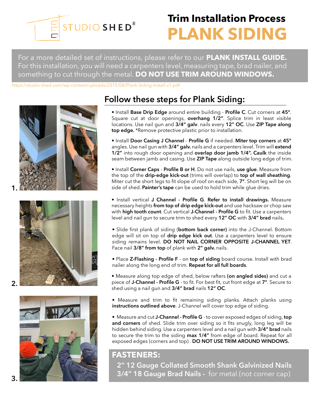

## **Trim Installation Process PLANK SIDING**

For a more detailed set of instructions, please refer to our **PLANK INSTALL GUIDE.** For this installation, you will need a carpenters level, measuring tape, brad nailer, and something to cut through the metal. **DO NOT USE TRIM AROUND WINDOWS.**

https://studio-shed.com/wp-content/uploads/2015/08/Plank-Siding-Install-v1.pdf







### **Follow these steps for Plank Siding:**

- Install **Base Drip Edge** around entire building **Profile C**. Cut corners at **45°**. Square cut at door openings, **overhang 1/2"**. Splice trim in least visible locations. Use nail gun and **3/4" galv**. nails every **12" OC**. Use **ZIP Tape along top edge.** \*Remove protective plastic prior to installation.
- Install **Door Casing J Channel Profile G** if needed. **Miter top corners** at **45°** angles. Use nail gun with **3/4" galv.** nails and a carpenters level. Trim will **extend 1/2"** into rough door opening and **overlap door jamb 1/4". Caulk** the inside seam between jamb and casing. Use **ZIP Tape** along outside long edge of trim.
- Install **Corner Caps** - **Profile B or H**. Do not use nails, **use glue**. Measure from the top of the **drip-edge kick-out** (trims will overlap) to **top of wall sheathing**. Miter cut the short legs to fit slope of roof on each side, **7°**. Short leg will be on side of shed. **Painter's tape** can be used to hold trim while glue dries.
- Install vertical **J Channel Profile G**. **Refer to install drawings.** Measure necessary heights **from top of drip edge kick-out** and use hacksaw or chop saw with **high tooth count**. Cut vertical **J-Channel - Profile G** to fit. Use a carpenters level and nail gun to secure trim to shed every **12" OC** with **3/4" brad** nails**.**
- Slide first plank of siding (**bottom back corner)** into the J-Channel. Bottom edge will sit on top of **drip edge kick out**. Use a carpenters level to ensure siding remains level. **DO NOT NAIL CORNER OPPOSITE J-CHANNEL YET**. Face nail **3/8" from top** of plank with **2" galv.** nails.
- Place **Z-Flashing Profile F** on **top of siding** board course. Install with brad nailer along the long end of trim. **Repeat for all full boards**.
- Measure along top edge of shed, below rafters **(on angled sides)** and cut a piece of **J-Channel - Profile G** - to fit. For best fit, cut front edge at **7°**. Secure to shed using a nail gun and **3/4" brad** nails **12" OC**.
- Measure and trim to fit remaining siding planks. Attach planks using **instructions outlined above**. J-Channel will cover top edge of siding.

• Measure and cut **J-Channel - Profile G** - to cover exposed edges of siding, **top and corners** of shed. Slide trim over siding so it fits snugly, long leg will be hidden behind siding. Use a carpenters level and a nail gun with **3/4" brad** nails to secure the trim to the siding **max 1/4"** from edge of board. Repeat for all exposed edges (corners and top) . **DO NOT USE TRIM AROUND WINDOWS.**

#### **FASTENERS:**

**2" 12 Gauge Collated Smooth Shank Galvinized Nails 3/4" 18 Gauge Brad Nails -** for metal (not corner cap)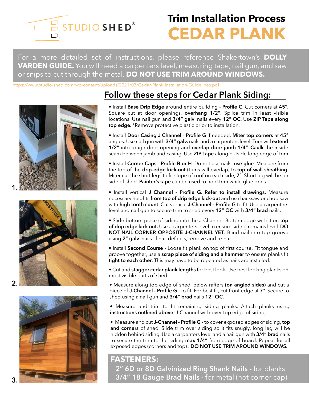

## **Trim Installation Process CEDAR PLANK**

For a more detailed set of instructions, please reference Shakertown's **DOLLY VARDEN GUIDE.** You will need a carpenters level, measuring tape, nail gun, and saw or snips to cut through the metal. **DO NOT USE TRIM AROUND WINDOWS.**

https://www.studio-shed.com/wp-content/uploads/2021/03/Cedar-Plank-Installation-Guidelines.pdf







### **Follow these steps for Cedar Plank Siding:**

• Install **Base Drip Edge** around entire building - **Profile C**. Cut corners at **45°**. Square cut at door openings, **overhang 1/2"**. Splice trim in least visible locations. Use nail gun and **3/4" galv**. nails every **12" OC**. Use **ZIP Tape along top edge.** \*Remove protective plastic prior to installation.

• Install **Door Casing J Channel** - **Profile G** if needed. **Miter top corners** at **45°** angles. Use nail gun with **3/4" galv.** nails and a carpenters level. Trim will **extend 1/2"** into rough door opening and **overlap door jamb 1/4". Caulk** the inside seam between jamb and casing. Use **ZIP Tape** along outside long edge of trim.

• Install **Corner Caps** - **Profile B or H**. Do not use nails, **use glue**. Measure from the top of the **drip-edge kick-out** (trims will overlap) to **top of wall sheathing**. Miter cut the short legs to fit slope of roof on each side, **7°**. Short leg will be on side of shed. **Painter's tape** can be used to hold trim while glue dries.

• Install vertical **J Channel - Profile G**. **Refer to install drawings.** Measure necessary heights **from top of drip edge kick-out** and use hacksaw or chop saw with **high tooth count**. Cut vertical **J-Channel - Profile G** to fit. Use a carpenters level and nail gun to secure trim to shed every **12" OC** with **3/4" brad** nails**.**

• Slide bottom piece of siding into the J-Channel. Bottom edge will sit on **top of drip edge kick out.** Use a carpenters level to ensure siding remains level. **DO NOT NAIL CORNER OPPOSITE J-CHANNEL YET**. Blind nail into top groove using **2" galv**. nails. If nail deflects, remove and re-nail.

• Install **Second Course** - Loose fit plank on top of first course. Fit tongue and groove together, use a **scrap piece of siding and a hammer** to ensure planks fit **tight to each other**. This may have to be repeated as nails are installed.

• Cut and **stagger cedar plank lengths** for best look. Use best looking planks on most visible parts of shed.

• Measure along top edge of shed, below rafters **(on angled sides)** and cut a piece of **J-Channel - Profile G** - to fit. For best fit, cut front edge at **7°**. Secure to shed using a nail gun and **3/4" brad** nails **12" OC**.

• Measure and trim to fit remaining siding planks. Attach planks using **instructions outlined above**. J-Channel will cover top edge of siding.

• Measure and cut **J-Channel - Profile G** - to cover exposed edges of siding, **top and corners** of shed. Slide trim over siding so it fits snugly, long leg will be hidden behind siding. Use a carpenters level and a nail gun with **3/4" brad** nails to secure the trim to the siding **max 1/4"** from edge of board. Repeat for all exposed edges (corners and top) . **DO NOT USE TRIM AROUND WINDOWS.**

#### **FASTENERS:**

**2" 6D or 8D Galvinized Ring Shank Nails -** for planks **3/4" 18 Gauge Brad Nails -** for metal (not corner cap)